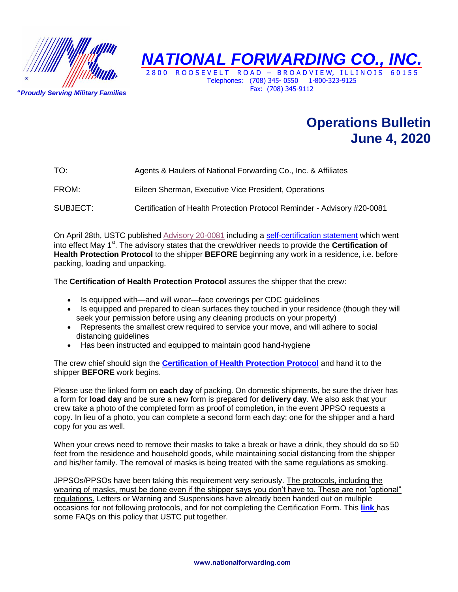

**"***Proudly Serving Military Families*

## *NATIONAL FORWARDING CO., INC.* 2800 ROOSEVELT ROAD - BROADVIEW, ILLINOIS

Telephones: (708) 345- 0550 1-800-323-9125 Fax: (708) 345-9112

## **Operations Bulletin June 4, 2020**

## TO: Agents & Haulers of National Forwarding Co., Inc. & Affiliates

FROM: Eileen Sherman, Executive Vice President, Operations

## SUBJECT: Certification of Health Protection Protocol Reminder - Advisory #20-0081

On April 28th, USTC published [Advisory 20-0081](http://r20.rs6.net/tn.jsp?f=001LznkodWeN1qGVxITuzNshioigLOJ024QCGtAnm5w0fZeqVjYcfwfsvpnIvw2xeP4dTNNfIX21WRRWNnB2G3JcObl72fme6rQ_1A4X6DRojGzS4gFtMAu_gdprCX2ey24tky_FBhKNI0Qkbx2mfXeL7vWrzuGyPLHb3ov4eiXAOtaenF6xMgsY95bq3UyUDzoNV3mLKQbcw0B4nJpo9Z4M7FwNGG3nEbUqh1Wa5BADbU=&c=UIWzRiE6K-qAKifV_pByRfJJ9QaRkoDk3s4B0rnfg_nMzNxwyAcggg==&ch=XEvaiQ5hzP8Qnkbz0TYFiGXNioX47NObgir3kbgX4g4rhuHZ-LiE0A==) including a [self-certification statement](http://r20.rs6.net/tn.jsp?f=001LznkodWeN1qGVxITuzNshioigLOJ024QCGtAnm5w0fZeqVjYcfwfsvpnIvw2xeP4R5GTu3Jzzx9X9XATuhCYaex06F0svU_SFLJXhAAqYLjEiMdYwtMKNMuSKv16sLfwYKdren49M7xFECA0KQNGMtymO9e6bBx6hgXdIJH3rLaVycjpyinSs-WXC165z_FnyJkHK4gc6Loyc8cbE_0-Z7_URE8Y2AGH_ejfCN0aT_Q=&c=UIWzRiE6K-qAKifV_pByRfJJ9QaRkoDk3s4B0rnfg_nMzNxwyAcggg==&ch=XEvaiQ5hzP8Qnkbz0TYFiGXNioX47NObgir3kbgX4g4rhuHZ-LiE0A==) which went into effect May 1<sup>st</sup>. The advisory states that the crew/driver needs to provide the Certification of **Health Protection Protocol** to the shipper **BEFORE** beginning any work in a residence, i.e. before packing, loading and unpacking.

The **Certification of Health Protection Protocol** assures the shipper that the crew:

- Is equipped with—and will wear—face coverings per CDC guidelines
- Is equipped and prepared to clean surfaces they touched in your residence (though they will seek your permission before using any cleaning products on your property)
- Represents the smallest crew required to service your move, and will adhere to social distancing guidelines
- Has been instructed and equipped to maintain good hand-hygiene

The crew chief should sign the **[Certification of Health Protection Protocol](http://r20.rs6.net/tn.jsp?f=001LznkodWeN1qGVxITuzNshioigLOJ024QCGtAnm5w0fZeqVjYcfwfsvpnIvw2xeP4R5GTu3Jzzx9X9XATuhCYaex06F0svU_SFLJXhAAqYLjEiMdYwtMKNMuSKv16sLfwYKdren49M7xFECA0KQNGMtymO9e6bBx6hgXdIJH3rLaVycjpyinSs-WXC165z_FnyJkHK4gc6Loyc8cbE_0-Z7_URE8Y2AGH_ejfCN0aT_Q=&c=UIWzRiE6K-qAKifV_pByRfJJ9QaRkoDk3s4B0rnfg_nMzNxwyAcggg==&ch=XEvaiQ5hzP8Qnkbz0TYFiGXNioX47NObgir3kbgX4g4rhuHZ-LiE0A==)** and hand it to the shipper **BEFORE** work begins.

Please use the linked form on **each day** of packing. On domestic shipments, be sure the driver has a form for **load day** and be sure a new form is prepared for **delivery day**. We also ask that your crew take a photo of the completed form as proof of completion, in the event JPPSO requests a copy. In lieu of a photo, you can complete a second form each day; one for the shipper and a hard copy for you as well.

When your crews need to remove their masks to take a break or have a drink, they should do so 50 feet from the residence and household goods, while maintaining social distancing from the shipper and his/her family. The removal of masks is being treated with the same regulations as smoking.

JPPSOs/PPSOs have been taking this requirement very seriously. The protocols, including the wearing of masks, must be done even if the shipper says you don't have to. These are not "optional" regulations. Letters or Warning and Suspensions have already been handed out on multiple occasions for not following protocols, and for not completing the Certification Form. This **[link](http://r20.rs6.net/tn.jsp?f=001LznkodWeN1qGVxITuzNshioigLOJ024QCGtAnm5w0fZeqVjYcfwfskb-aQphQFZaYNDXaaLyNOi39HNo96Yx7Mig145LIIkZgrygRK9QU4DqpxSZYH2IfEvDpEkwriZ94cP-wUQgwFRmH2Mubn0F3vk9YnkfQyhYba9w610mmhkx1KJ8RAFfEINBKBhoxTxazCPh2mAv1avl9TfhQ1K0igCVG7yOrp1B4qRlMvxsJ_s=&c=UIWzRiE6K-qAKifV_pByRfJJ9QaRkoDk3s4B0rnfg_nMzNxwyAcggg==&ch=XEvaiQ5hzP8Qnkbz0TYFiGXNioX47NObgir3kbgX4g4rhuHZ-LiE0A==)** has some FAQs on this policy that USTC put together.